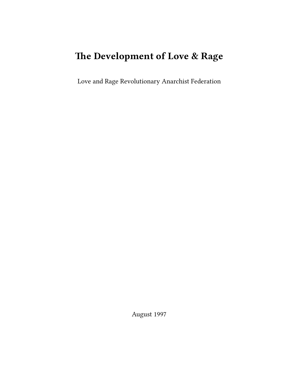# **The Development of Love & Rage**

Love and Rage Revolutionary Anarchist Federation

August 1997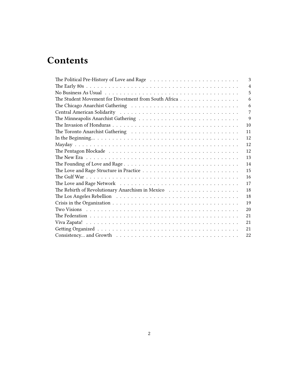## **Contents**

| The Political Pre-History of Love and Rage $\dots \dots \dots \dots \dots \dots \dots \dots \dots \dots$              | 3              |
|-----------------------------------------------------------------------------------------------------------------------|----------------|
|                                                                                                                       | $\overline{4}$ |
|                                                                                                                       | 5              |
| The Student Movement for Divestment from South Africa                                                                 | 6              |
|                                                                                                                       | 6              |
|                                                                                                                       | 7              |
|                                                                                                                       | 9              |
| 10                                                                                                                    |                |
| 11                                                                                                                    |                |
| 12                                                                                                                    |                |
| 12                                                                                                                    |                |
| 12                                                                                                                    |                |
| 13                                                                                                                    |                |
| 14                                                                                                                    |                |
| 15                                                                                                                    |                |
| 16                                                                                                                    |                |
| The Love and Rage Network $\dots \dots \dots \dots \dots \dots \dots \dots \dots \dots \dots \dots \dots \dots$<br>17 |                |
| 18                                                                                                                    |                |
| The Los Angeles Rebellion $\ldots \ldots \ldots \ldots \ldots \ldots \ldots \ldots \ldots \ldots \ldots \ldots$<br>18 |                |
| 19                                                                                                                    |                |
| 20                                                                                                                    |                |
| 21                                                                                                                    |                |
| 21                                                                                                                    |                |
| 21                                                                                                                    |                |
| 22                                                                                                                    |                |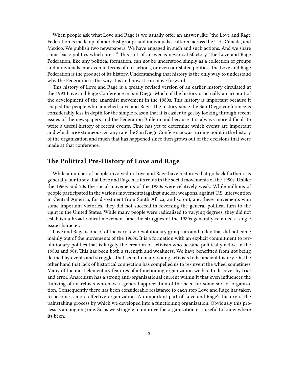When people ask what Love and Rage is we usually offer an answer like "the Love and Rage Federation is made up of anarchist groups and individuals scattered across the U.S., Canada, and Mexico. We publish two newspapers. We have engaged in such and such actions. And we share some basic politics which are …" This sort of answer is never satisfactory. The Love and Rage Federation, like any political formation, can not be understood simply as a collection of groups and individuals, nor even in terms of our actions, or even our stated politics. The Love and Rage Federation is the product of its history. Understanding that history is the only way to understand why the Federation is the way it is and how it can move forward.

This history of Love and Rage is a greatly revised version of an earlier history circulated at the 1993 Love and Rage Conference in San Diego. Much of the history is actually an account of the development of the anarchist movement in the 1980s. This history is important because it shaped the people who launched Love and Rage. The history since the San Diego conference is considerably less in depth for the simple reason that it is easier to get by looking through recent issues of the newspapers and the Federation Bulletin and because it is always more difficult to write a useful history of recent events. Time has yet to determine which events are important and which are extraneous. At any rate the San Diego Conference was turning point in the history of the organization and much that has happened since then grows out of the decisions that were made at that conference.

## <span id="page-2-0"></span>**The Political Pre-History of Love and Rage**

While a number of people involved in Love and Rage have histories that go back farther it is generally fair to say that Love and Rage has its roots in the social movements of the 1980s. Unlike the 1960s and 70s the social movements of the 1980s were relatively weak. While millions of people participated in the various movements (against nuclear weapons, against U.S. intervention in Central America, for divestment from South Africa, and so on), and these movements won some important victories, they did not succeed in reversing the general political turn to the right in the United States. While many people were radicalized to varying degrees, they did not establish a broad radical movement, and the struggles of the 1980s generally retained a single issue character.

Love and Rage is one of of the very few revolutionary groups around today that did not come mainly out of the movements of the 1960s. It is a formation with an explicit commitment to revolutionary politics that is largely the creation of activists who became politically active in the 1980s and 90s. This has been both a strength and weakness. We have benefitted from not being defined by events and struggles that seem to many young activists to be ancient history. On the other hand that lack of historical connection has compelled us to re-invent the wheel sometimes. Many of the most elementary features of a functioning organization we had to discover by trial and error. Anarchism has a strong anti-organizational current within it that even influences the thinking of anarchists who have a general appreciation of the need for some sort of organization. Consequently there has been considerable resistance to each step Love and Rage has taken to become a more effective organization. An important part of Love and Rage's history is the painstaking process by which we developed into a functioning organization. Obviously this process is an ongoing one. So as we struggle to improve the organization it is useful to know where its been.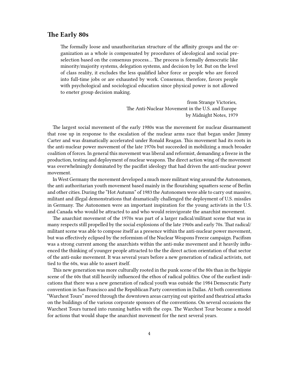## <span id="page-3-0"></span>**The Early 80s**

The formally loose and unauthoritarian structure of the affinity groups and the organization as a whole is compensated by procedures of ideological and social preselection based on the consensus process… The process is formally democratic like minority/majority systems, delegation systems, and decision by lot. But on the level of class reality, it excludes the less qualified labor force or people who are forced into full-time jobs or are exhausted by work. Consensus, therefore, favors people with psychological and sociological education since physical power is not allowed to eneter group decision making.

> from Strange Victories, The Anti-Nuclear Movement in the U.S. and Europe by Midnight Notes, 1979

The largest social movement of the early 1980s was the movement for nuclear disarmament that rose up in response to the escalation of the nuclear arms race that began under Jimmy Carter and was dramatically accelerated under Ronald Reagan. This movement had its roots in the anti-nuclear power movement of the late 1970s but succeeded in mobilizing a much broader coalition of forces. In general this movement was liberal and reformist, demanding a freeze in the production, testing and deployment of nuclear weapons. The direct action wing of the movement was overwhelmingly dominated by the pacifist ideology that had driven the anti-nuclear power movement.

In West Germany the movement developed a much more militant wing around the Autonomen, the anti authoritarian youth movement based mainly in the flourishing squatters scene of Berlin and other cities. During the "Hot Autumn" of 1983 the Autonomen were able to carry out massive, militant and illegal demonstrations that dramatically challenged the deployment of U.S. missiles in Germany. The Autonomen were an important inspiration for the young activists in the U.S. and Canada who would be attracted to and who would reinvigorate the anarchist movement.

The anarchist movement of the 1970s was part of a larger radical/militant scene that was in many respects still propelled by the social explosions of the late 1960s and early 70s. That radical/ militant scene was able to compose itself as a presence within the anti-nuclear power movement, but was effectively eclipsed by the reformism of the Nuclear Weapons Freeze campaign. Pacifism was a strong current among the anarchists within the anti-nuke movement and it heavily influenced the thinking of younger people attracted to the the direct action orientation of that sector of the anti-nuke movement. It was several years before a new generation of radical activists, not tied to the 60s, was able to assert itself.

This new generation was more culturally rooted in the punk scene of the 80s than in the hippie scene of the 60s that still heavily influenced the ethos of radical politics. One of the earliest indications that there was a new generation of radical youth was outside the 1984 Democratic Party convention in San Francisco and the Republican Party convention in Dallas. At both conventions "Warchest Tours" moved through the downtown areas carrying out spirited and theatrical attacks on the buildings of the various corporate sponsors of the conventions. On several occasions the Warchest Tours turned into running battles with the cops. The Warchest Tour became a model for actions that would shape the anarchist movement for the next several years.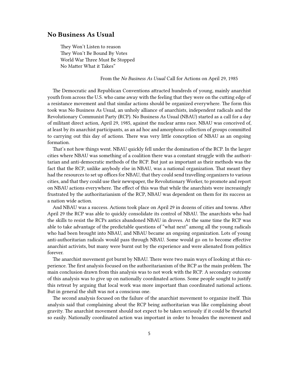## <span id="page-4-0"></span>**No Business As Usual**

They Won't Listen to reason They Won't Be Bound By Votes World War Three Must Be Stopped No Matter What it Takes"

From the *No Business As Usual* Call for Actions on April 29, 1985

The Democratic and Republican Conventions attracted hundreds of young, mainly anarchist youth from across the U.S. who came away with the feeling that they were on the cutting edge of a resistance movement and that similar actions should be organized everywhere. The form this took was No Business As Usual, an unholy alliance of anarchists, independent radicals and the Revolutionary Communist Party (RCP). No Business As Usual (NBAU) started as a call for a day of militant direct action, April 29, 1985, against the nuclear arms race. NBAU was conceived of, at least by its anarchist participants, as an ad hoc and amorphous collection of groups committed to carrying out this day of actions. There was very little conception of NBAU as an ongoing formation.

That's not how things went. NBAU quickly fell under the domination of the RCP. In the larger cities where NBAU was something of a coalition there was a constant struggle with the authoritarian and anti-democratic methods of the RCP. But just as important as their methods was the fact that the RCP, unlike anybody else in NBAU, was a national organization. That meant they had the resources to set up offices for NBAU, that they could send travelling organizers to various cities, and that they could use their newspaper, the Revolutionary Worker, to promote and report on NBAU actions everywhere. The effect of this was that while the anarchists were increasingly frustrated by the authoritarianism of the RCP, NBAU was dependent on them for its success as a nation wide action.

And NBAU was a success. Actions took place on April 29 in dozens of cities and towns. After April 29 the RCP was able to quickly consolidate its control of NBAU. The anarchists who had the skills to resist the RCPs antics abandoned NBAU in droves. At the same time the RCP was able to take advantage of the predictable questions of "what next" among all the young radicals who had been brought into NBAU, and NBAU became an ongoing organization. Lots of young anti-authoritarian radicals would pass through NBAU. Some would go on to become effective anarchist activists, but many were burnt out by the experience and were alienated from politics forever.

The anarchist movement got burnt by NBAU. There were two main ways of looking at this experience. The first analysis focused on the authoritarianism of the RCP as the main problem. The main conclusion drawn from this analysis was to not work with the RCP. A secondary outcome of this analysis was to give up on nationally coordinated actions. Some people sought to justify this retreat by arguing that local work was more important than coordinated national actions. But in general the shift was not a conscious one.

The second analysis focused on the failure of the anarchist movement to organize itself. This analysis said that complaining about the RCP being authoritarian was like complaining about gravity. The anarchist movement should not expect to be taken seriously if it could be thwarted so easily. Nationally coordinated action was important in order to broaden the movement and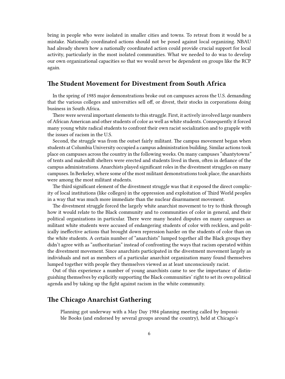bring in people who were isolated in smaller cities and towns. To retreat from it would be a mistake. Nationally coordinated actions should not be posed against local organizing. NBAU had already shown how a nationally coordinated action could provide crucial support for local activity, particularly in the most isolated communities. What we needed to do was to develop our own organizational capacities so that we would never be dependent on groups like the RCP again.

## <span id="page-5-0"></span>**The Student Movement for Divestment from South Africa**

In the spring of 1985 major demonstrations broke out on campuses across the U.S. demanding that the various colleges and universities sell off, or divest, their stocks in corporations doing business in South Africa.

There were several important elements to this struggle. First, it actively involved large numbers of African American and other students of color as well as white students. Consequently it forced many young white radical students to confront their own racist socialization and to grapple with the issues of racism in the U.S.

Second, the struggle was from the outset fairly militant. The campus movement began when students at Columbia University occupied a campus administration building. Similar actions took place on campuses across the country in the following weeks. On many campuses "shantytowns" of tents and makeshift shelters were erected and students lived in them, often in defiance of the campus administrations. Anarchists played significant roles in the divestment struggles on many campuses. In Berkeley, where some of the most militant demonstrations took place, the anarchists were among the most militant students.

The third significant element of the divestment struggle was that it exposed the direct complicity of local institutions (like colleges) in the oppression and exploitation of Third World peoples in a way that was much more immediate than the nuclear disarmament movement.

The divestment struggle forced the largely white anarchist movement to try to think through how it would relate to the Black community and to communities of color in general, and their political organizations in particular. There were many heated disputes on many campuses as militant white students were accused of endangering students of color with reckless, and politically ineffective actions that brought down repression harder on the students of color than on the white students. A certain number of "anarchists" lumped together all the Black groups they didn't agree with as "authoritarian" instead of confronting the ways that racism operated within the divestment movement. Since anarchists participated in the divestment movement largely as individuals and not as members of a particular anarchist organization many found themselves lumped together with people they themselves viewed as at least unconsciously racist.

Out of this experience a number of young anarchists came to see the importance of distinguishing themselves by explicitly supporting the Black communities' right to set its own political agenda and by taking up the fight against racism in the white community.

## <span id="page-5-1"></span>**The Chicago Anarchist Gathering**

Planning got underway with a May Day 1984 planning meeting called by Impossible Books (and endorsed by several groups around the country), held at Chicago's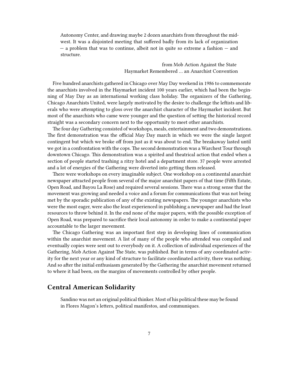Autonomy Center, and drawing maybe 2 dozen anarchists from throughout the midwest. It was a disjointed meeting that suffered badly from its lack of organization — a problem that was to continue, albeit not in quite so extreme a fashion — and structure.

> from Mob Action Against the State Haymarket Remembered … an Anarchist Convention

Five hundred anarchists gathered in Chicago over May Day weekend in 1986 to commemorate the anarchists involved in the Haymarket incident 100 years earlier, which had been the beginning of May Day as an international working class holiday. The organizers of the Gathering, Chicago Anarchists United, were largely motivated by the desire to challenge the leftists and liberals who were attempting to gloss over the anarchist character of the Haymarket incident. But most of the anarchists who came were younger and the question of setting the historical record straight was a secondary concern next to the opportunity to meet other anarchists.

The four day Gathering consisted of workshops, meals, entertainment and two demonstrations. The first demonstration was the official May Day march in which we were the single largest contingent but which we broke off from just as it was about to end. The breakaway lasted until we got in a confrontation with the cops. The second demonstration was a Warchest Tour through downtown Chicago. This demonstration was a spirited and theatrical action that ended when a section of people started trashing a ritzy hotel and a department store. 37 people were arrested and a lot of energies of the Gathering were diverted into getting them released.

There were workshops on every imaginable subject. One workshop on a continental anarchist newspaper attracted people from several of the major anarchist papers of that time (Fifth Estate, Open Road, and Bayou La Rose) and required several sessions. There was a strong sense that the movement was growing and needed a voice and a forum for communications that was not being met by the sporadic publication of any of the existing newspapers. The younger anarchists who were the most eager, were also the least experienced in publishing a newspaper and had the least resources to throw behind it. In the end none of the major papers, with the possible exception of Open Road, was prepared to sacrifice their local autonomy in order to make a continental paper accountable to the larger movement.

The Chicago Gathering was an important first step in developing lines of communication within the anarchist movement. A list of many of the people who attended was compiled and eventually copies were sent out to everybody on it. A collection of individual experiences of the Gathering, Mob Action Against The State, was published. But in terms of any coordinated activity for the next year or any kind of structure to facilitate coordinated activity, there was nothing. And so after the initial enthusiasm generated by the Gathering the anarchist movement returned to where it had been, on the margins of movements controlled by other people.

### <span id="page-6-0"></span>**Central American Solidarity**

Sandino was not an original political thinker. Most of his political these may be found in Flores Magon's letters, political manifestos, and communiques.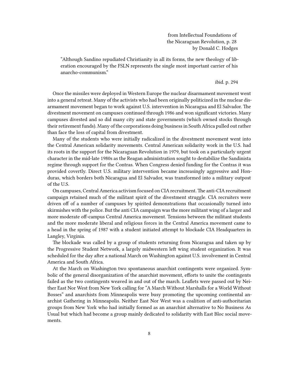from Intellectual Foundations of the Nicaraguan Revolution, p. 28 by Donald C. Hodges

"Although Sandino repudiated Christianity in all its forms, the new theology of liberation encouraged by the FSLN represents the single most important carrier of his anarcho-communism."

#### ibid. p. 294

Once the missiles were deployed in Western Europe the nuclear disarmament movement went into a general retreat. Many of the activists who had been originally politicized in the nuclear disarmament movement began to work against U.S. intervention in Nicaragua and El Salvador. The divestment movement on campuses continued through 1986 and won significant victories. Many campuses divested and so did many city and state governments (which owned stocks through their retirement funds). Many of the corporations doing business in South Africa pulled out rather than face the loss of capital from divestment.

Many of the students who were initially radicalized in the divestment movement went into the Central American solidarity movements. Central American solidarity work in the U.S. had its roots in the support for the Nicaraguan Revolution in 1979, but took on a particularly urgent character in the mid-late 1980s as the Reagan administration sought to destabilize the Sandinista regime through support for the Contras. When Congress denied funding for the Contras it was provided covertly. Direct U.S. military intervention became increasingly aggressive and Honduras, which borders both Nicaragua and El Salvador, was transformed into a military outpost of the U.S.

On campuses, Central America activism focused on CIA recruitment.The anti-CIA recruitment campaign retained much of the militant spirit of the divestment struggle. CIA recruiters were driven off of a number of campuses by spirited demonstrations that occasionally turned into skirmishes with the police. But the anti CIA campaign was the more militant wing of a larger and more moderate off-campus Central America movement. Tensions between the militant students and the more moderate liberal and religious forces in the Central America movement came to a head in the spring of 1987 with a student initiated attempt to blockade CIA Headquarters in Langley, Virginia.

The blockade was called by a group of students returning from Nicaragua and taken up by the Progressive Student Network, a largely midwestern left wing student organization. It was scheduled for the day after a national March on Washington against U.S. involvement in Central America and South Africa.

At the March on Washington two spontaneous anarchist contingents were organized. Symbolic of the general disorganization of the anarchist movement, efforts to unite the contingents failed as the two contingents weaved in and out of the march. Leaflets were passed out by Neither East Nor West from New York calling for "A March Without Marshalls for a World Without Bosses" and anarchists from Minneapolis were busy promoting the upcoming continental anarchist Gathering in Minneapolis. Neither East Nor West was a coalition of anti-authoritarian groups from New York who had initially formed as an anarchist alternative to No Business As Usual but which had become a group mainly dedicated to solidarity with East Bloc social movements.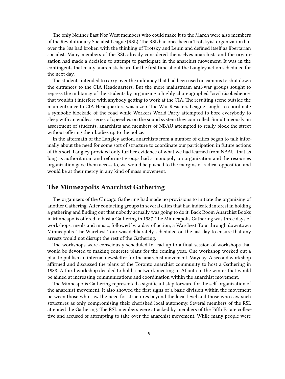The only Neither East Nor West members who could make it to the March were also members of the Revolutionary Socialist League (RSL). The RSL had once been a Trotskyist organization but over the 80s had broken with the thinking of Trotsky and Lenin and defined itself as libertarian socialist. Many members of the RSL already considered themselves anarchists and the organization had made a decision to attempt to participate in the anarchist movement. It was in the contingents that many anarchists heard for the first time about the Langley action scheduled for the next day.

The students intended to carry over the militancy that had been used on campus to shut down the entrances to the CIA Headquarters. But the more mainstream anti-war groups sought to repress the militancy of the students by organizing a highly choreographed "civil disobedience" that wouldn't interfere with anybody getting to work at the CIA. The resulting scene outside the main entrance to CIA Headquarters was a zoo. The War Resisters League sought to coordinate a symbolic blockade of the road while Workers World Party attempted to bore everybody to sleep with an endless series of speeches on the sound system they controlled. Simultaneously an assortment of students, anarchists and members of NBAU attempted to really block the street without offering their bodies up to the police.

In the aftermath of the Langley action, anarchists from a number of cities began to talk informally about the need for some sort of structure to coordinate our participation in future actions of this sort. Langley provided only further evidence of what we had learned from NBAU, that as long as authoritarian and reformist groups had a monopoly on organization and the resources organization gave them access to, we would be pushed to the margins of radical opposition and would be at their mercy in any kind of mass movement.

## <span id="page-8-0"></span>**The Minneapolis Anarchist Gathering**

The organizers of the Chicago Gathering had made no provisions to initiate the organizing of another Gathering. After contacting groups in several cities that had indicated interest in holding a gathering and finding out that nobody actually was going to do it, Back Room Anarchist Books in Minneapolis offered to host a Gathering in 1987. The Minneapolis Gathering was three days of workshops, meals and music, followed by a day of action, a Warchest Tour through downtown Minneapolis. The Warchest Tour was deliberately scheduled on the last day to ensure that any arrests would not disrupt the rest of the Gathering.

The workshops were consciously scheduled to lead up to a final session of workshops that would be devoted to making concrete plans for the coming year. One workshop worked out a plan to publish an internal newsletter for the anarchist movement, Mayday. A second workshop affirmed and discussed the plans of the Toronto anarchist community to host a Gathering in 1988. A third workshop decided to hold a network meeting in Atlanta in the winter that would be aimed at increasing communications and coordination within the anarchist movement.

The Minneapolis Gathering represented a significant step forward for the self-organization of the anarchist movement. It also showed the first signs of a basic division within the movement between those who saw the need for structures beyond the local level and those who saw such structures as only compromising their cherished local autonomy. Several members of the RSL attended the Gathering. The RSL members were attacked by members of the Fifth Estate collective and accused of attempting to take over the anarchist movement. While many people were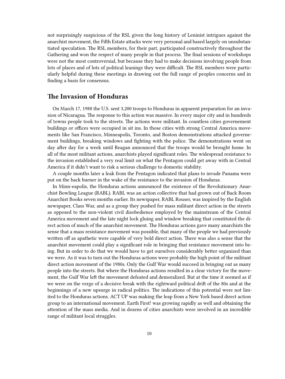not surprisingly suspicious of the RSL given the long history of Leninist intrigues against the anarchist movement, the Fifth Estate attacks were very personal and based largely on unsubstantiated speculation. The RSL members, for their part, participated constructively throughout the Gathering and won the respect of many people in that process. The final sessions of workshops were not the most controversial, but because they had to make decisions involving people from lots of places and of lots of political leanings they were difficult. The RSL members were particularly helpful during these meetings in drawing out the full range of peoples concerns and in finding a basis for consensus.

## <span id="page-9-0"></span>**The Invasion of Honduras**

On March 17, 1988 the U.S. sent 3,200 troops to Honduras in apparent preparation for an invasion of Nicaragua. The response to this action was massive. In every major city and in hundreds of towns people took to the streets. The actions were militant. In countless cities governement buildings or offices were occupied in sit ins. In those cities with strong Central America movements like San Francisco, Minneapolis, Toronto, and Boston demonstrations attacked governement buildings, breaking windows and fighting with the police. The demonstrations went on day after day for a week until Reagan announced that the troops would be brought home. In all of the most militant actions, anarchists played significant roles. The widespread resistance to the invasion established a very real limit on what the Pentagon could get away with in Central America if it didn't want to risk a serious challenge to domestic stability.

A couple months later a leak from the Pentagon indicated that plans to invade Panama were put on the back burner in the wake of the resistance to the invasion of Honduras.

In Minn-eapolis, the Honduras actions announced the existence of the Revolutionary Anarchist Bowling League (RABL). RABL was an action collective that had grown out of Back Room Anarchist Books seven months earlier. Its newspaper, RABL Rouser, was inspired by the English newspaper, Class War, and as a group they pushed for mass militant direct action in the streets as opposed to the non-violent civil disobedience employed by the mainstream of the Central America movement and the late night lock gluing and window breaking that constituted the direct action of much of the anarchist movement. The Honduras actions gave many anarchists the sense that a mass resistance movement was possible, that many of the people we had previously written off as apathetic were capable of very bold direct action. There was also a sense that the anarchist movement could play a significant role in bringing that resistance movement into being. But in order to do that we would have to get ourselves considerably better organized than we were. As it was to turn out the Honduras actions were probably the high point of the militant direct action movement of the 1980s. Only the Gulf War would succeed in bringing out as many people into the streets. But where the Honduras actions resulted in a clear victory for the movement, the Gulf War left the movement defeated and demoralized. But at the time it seemed as if we were on the verge of a decisive break with the rightward political drift of the 80s and at the beginnings of a new upsurge in radical politics. The indications of this potential were not limited to the Honduras actions. ACT UP was making the leap from a New York based direct action group to an international movement. Earth First! was growing rapidly as well and obtaining the attention of the mass media. And in dozens of cities anarchists were involved in an incredible range of militant local struggles.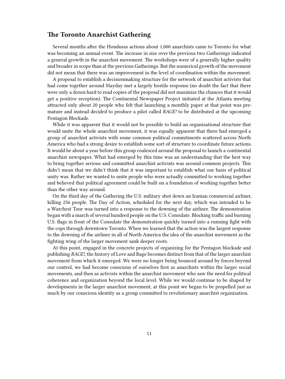## <span id="page-10-0"></span>**The Toronto Anarchist Gathering**

Several months after the Honduras actions about 1,000 anarchists came to Toronto for what was becoming an annual event. The increase in size over the previous two Gatherings indicated a general growth in the anarchist movement. The workshops were of a generally higher quality and broader in scope than at the previous Gatherings. But the numerical growth of the movement did not mean that there was an improvement in the level of coordination within the movement.

A proposal to establish a decisionmaking structure for the network of anarchist activists that had come together around Mayday met a largely hostile response (no doubt the fact that there were only a dozen hard to read copies of the proposal did not maximize the chances that it would get a positive reception). The Continental Newspaper Project initiated at the Atlanta meeting attracted only about 20 people who felt that launching a monthly paper at that point was premature and instead decided to produce a pilot called *RAGE!* to be distributed at the upcoming Pentagon Blockade.

While it was apparent that it would not be possible to build an organizational structure that would unite the whole anarchist movement, it was equally apparent that there had emerged a group of anarchist activists with some common political commitments scattered across North America who had a strong desire to establish some sort of structure to coordinate future actions. It would be about a year before this group coalesced around the proposal to launch a continental anarchist newspaper. What had emerged by this time was an understanding that the best way to bring together serious and committed anarchist activists was around common projects. This didn't mean that we didn't think that it was important to establish what our basis of political unity was. Rather we wanted to unite people who were actually committed to working together and believed that political agreement could be built on a foundation of working together better than the other way around.

On the third day of the Gathering the U.S. military shot down an Iranian commercial airliner, killing 256 people. The Day of Action, scheduled for the next day, which was intended to be a Warchest Tour was turned into a response to the downing of the airliner. The demonstration began with a march of several hundred people on the U.S. Consulate. Blocking traffic and burning U.S. flags in front of the Consulate the demonstration quickly turned into a running fight with the cops through downtown Toronto. When we learned that the action was the largest response to the downing of the airliner in all of North America the idea of the anarchist movement as the fighting wing of the larger movement sank deeper roots.

At this point, engaged in the concrete projects of organizing for the Pentagon blockade and publishing *RAGE!*, the history of Love and Rage becomes distinct from that of the larger anarchist movement from which it emerged. We were no longer being bounced around by forces beyond our control, we had become conscious of ourselves first as anarchists within the larger social movements, and then as activists within the anarchist movement who saw the need for political coherence and organization beyond the local level. While we would continue to be shaped by developments in the larger anarchist movement, at this point we began to be propelled just as much by our conscious identity as a group committed to revolutionary anarchist organization.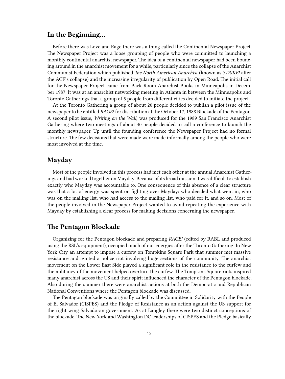## <span id="page-11-0"></span>**In the Beginning…**

Before there was Love and Rage there was a thing called the Continental Newspaper Project. The Newspaper Project was a loose grouping of people who were committed to launching a monthly continental anarchist newspaper. The idea of a continental newspaper had been bouncing around in the anarchist movement for a while, particularly since the collapse of the Anarchist Communist Federation which published *The North American Anarchist* (known as *STRIKE!* after the ACF's collapse) and the increasing irregularity of publication by Open Road. The initial call for the Newspaper Project came from Back Room Anarchist Books in Minneapolis in December 1987. It was at an anarchist networking meeting in Atlanta in between the Minneapolis and Toronto Gatherings that a group of 5 people from different cities decided to initiate the project.

At the Toronto Gathering a group of about 20 people decided to publish a pilot issue of the newspaper to be entitled *RAGE!* for distribution at the October 17, 1988 Blockade of the Pentagon. A second pilot issue, *Writing on the Wall*, was produced for the 1989 San Francisco Anarchist Gathering where two meetings of about 40 people decided to call a conference to launch the monthly newspaper. Up until the founding conference the Newspaper Project had no formal structure. The few decisions that were made were made informally among the people who were most involved at the time.

#### <span id="page-11-1"></span>**Mayday**

Most of the people involved in this process had met each other at the annual Anarchist Gatherings and had worked together on Mayday. Because of its broad mission it was difficult to establish exactly who Mayday was accountable to. One consequence of this absence of a clear structure was that a lot of energy was spent on fighting over Mayday: who decided what went in, who was on the mailing list, who had access to the mailing list, who paid for it, and so on. Most of the people involved in the Newspaper Project wanted to avoid repeating the experience with Mayday by establishing a clear process for making decisions concerning the newspaper.

### <span id="page-11-2"></span>**The Pentagon Blockade**

Organizing for the Pentagon blockade and preparing *RAGE!* (edited by RABL and produced using the RSL's equipment), occupied much of our energies after the Toronto Gathering. In New York City an attempt to impose a curfew on Tompkins Square Park that summer met massive resistance and ignited a police riot involving huge sections of the community. The anarchist movement on the Lower East Side played a significant role in the resistance to the curfew and the militancy of the movement helped overturn the curfew. The Tompkins Square riots inspired many anarchist across the US and their spirit influenced the character of the Pentagon blockade. Also during the summer there were anarchist actions at both the Democratic and Republican National Conventions where the Pentagon blockade was discussed.

The Pentagon blockade was originally called by the Committee in Solidarity with the People of El Salvador (CISPES) and the Pledge of Resistance as an action against the US support for the right wing Salvadoran government. As at Langley there were two distinct conceptions of the blockade. The New York and Washington DC leaderships of CISPES and the Pledge basically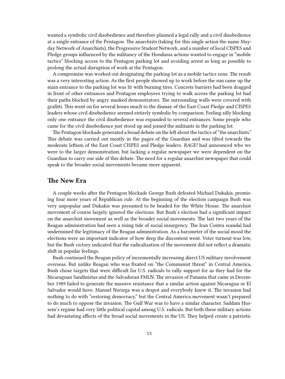wanted a symbolic civil disobedience and therefore planned a legal rally and a civil disobedience at a single entrance of the Pentagon. The anarchists (taking for this single action the name Mayday Network of Anarchists), the Progressive Student Network, and a number of local CISPES and Pledge groups influenced by the militancy of the Honduras actions wanted to engage in "mobile tactics" blocking access to the Pentagon parking lot and avoiding arrest as long as possible to prolong the actual disruption of work at the Pentagon.

A compromise was worked out designating the parking lot as a mobile tactics zone. The result was a very interesting action. As the first people showed up to work before the sun came up the main entrance to the parking lot was lit with burning tires. Concrete barriers had been dragged in front of other entrances and Pentagon employees trying to walk across the parking lot had their paths blocked by angry masked demonstrators. The surrounding walls were covered with grafitti. This went on for several hours much to the dismay of the East Coast Pledge and CISPES leaders whose civil disobedience seemed entirely symbolic by comparison. Feeling silly blocking only one entrance the civil disobedience was expanded to several entrances. Some people who came for the civil disobedience just stood up and joined the militants in the parking lot.

The Pentagon blockade generated a broad debate on the left about the tactics of "the anarchists." This debate was carried out mostly in the pages of the Guardian and was tilted towards the moderate leftism of the East Coast CISPES and Pledge leaders. *RAGE!* had announced who we were to the larger demonstration, but lacking a regular newspaper we were dependent on the Guardian to carry our side of this debate. The need for a regular anarchist newspaper that could speak to the broader social movements became more apparent.

#### <span id="page-12-0"></span>**The New Era**

A couple weeks after the Pentagon blockade George Bush defeated Michael Dukakis, promising four more years of Republican rule. At the beginning of the election campaign Bush was very unpopular and Dukakis was presumed to be headed for the White House. The anarchist movement of course largely ignored the elections. But Bush's election had a significant impact on the anarchist movement as well as the broader social movements. The last two years of the Reagan administration had seen a rising tide of social insurgency. The Iran Contra scandal had undermined the legitimacy of the Reagan administration. As a barometer of the social mood the elections were an important indicator of how deep the discontent went. Voter turnout was low, but the Bush victory indicated that the radicalization of the movement did not reflect a dramatic shift in popular feelings.

Bush continued the Reagan policy of incrementally increasing direct US military involvement overseas. But unlike Reagan who was fixated on "the Communist threat" in Central America, Bush chose targets that were difficult for U.S. radicals to rally support for as they had for the Nicaraguan Sandinistas and the Salvadoran FMLN. The invasion of Panama that came in December 1989 failed to generate the massive resistance that a similar action against Nicaragua or El Salvador would have. Manuel Noriega was a despot and everybody knew it. The invasion had nothing to do with "restoring democracy," but the Central America movement wasn't prepared to do much to oppose the invasion. The Gulf War was to have a similar character. Saddam Hussein's regime had very little political capital among U.S. radicals. But both these military actions had devastating effects of the broad social movements in the US. They helped create a patriotic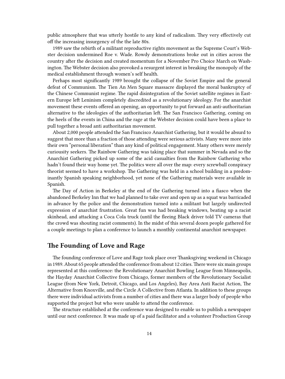public atmosphere that was utterly hostile to any kind of radicalism. They very effectively cut off the increasing insurgency of the the late 80s.

1989 saw the rebirth of a militant reproductive rights movement as the Supreme Court's Webster decision undermined Roe v. Wade. Rowdy demonstrations broke out in cities across the country after the decision and created momentum for a November Pro Choice March on Washington. The Webster decision also provoked a resurgent interest in breaking the monopoly of the medical establishment through women's self health.

Perhaps most significantly 1989 brought the collapse of the Soviet Empire and the general defeat of Communism. The Tien An Men Square massacre displayed the moral bankruptcy of the Chinese Communist regime. The rapid disintegration of the Soviet satellite regimes in Eastern Europe left Leninism completely discredited as a revolutionary ideology. For the anarchist movement these events offered an opening, an opportunity to put forward an anti-authoritarian alternative to the ideologies of the authoritarian left. The San Francisco Gathering, coming on the heels of the events in China and the rage at the Webster decision could have been a place to pull together a broad anti authoritarian movement.

About 2,000 people attended the San Francisco Anarchist Gathering, but it would be absurd to suggest that more than a fraction of those attending were serious activists. Many were more into their own "personal liberation" than any kind of political engagement. Many others were merely curiousity seekers. The Rainbow Gathering was taking place that summer in Nevada and so the Anarchist Gathering picked up some of the acid casualties from the Rainbow Gathering who hadn't found their way home yet. The politics were all over the map: every screwball conspiracy theorist seemed to have a workshop. The Gathering was held in a school building in a predominantly Spanish speaking neighborhood, yet none of the Gathering materials were available in Spanish.

The Day of Action in Berkeley at the end of the Gathering turned into a fiasco when the abandoned Berkeley Inn that we had planned to take over and open up as a squat was barricaded in advance by the police and the demonstration turned into a militant but largely undirected expression of anarchist frustration. Great fun was had breaking windows, beating up a racist skinhead, and attacking a Coca Cola truck (until the fleeing Black driver told TV cameras that the crowd was shouting racist comments). In the midst of this several dozen people gathered for a couple meetings to plan a conference to launch a monthly continental anarchist newspaper.

## <span id="page-13-0"></span>**The Founding of Love and Rage**

The founding conference of Love and Rage took place over Thanksgiving weekend in Chicago in 1989. About 65 people attended the conference from about 12 cities. There were six main groups represented at this conference: the Revolutionary Anarchist Bowling League from Minneapolis, the Hayday Anarchist Collective from Chicago, former members of the Revolutionary Socialist League (from New York, Detroit, Chicago, and Los Angeles), Bay Area Anti Racist Action, The Alternative from Knoxville, and the Circle A Collective from Atlanta. In addition to these groups there were individual activists from a number of cities and there was a larger body of people who supported the project but who were unable to attend the conference.

The structure established at the conference was designed to enable us to publish a newspaper until our next conference. It was made up of a paid facilitator and a volunteer Production Group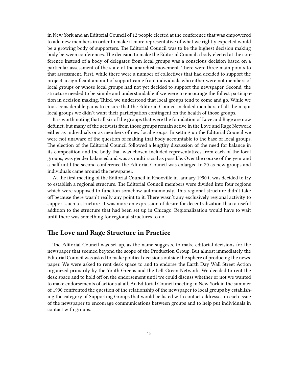in New York and an Editorial Council of 12 people elected at the conference that was empowered to add new members in order to make it more representative of what we rightly expected would be a growing body of supporters. The Editorial Council was to be the highest decision making body between conferences. The decision to make the Editorial Council a body elected at the conference instead of a body of delegates from local groups was a conscious decision based on a particular assessment of the state of the anarchist movement. There were three main points to that assessment. First, while there were a number of collectives that had decided to support the project, a significant amount of support came from individuals who either were not members of local groups or whose local groups had not yet decided to support the newspaper. Second, the structure needed to be simple and understandable if we were to encourage the fullest participation in decision making. Third, we understood that local groups tend to come and go. While we took considerable pains to ensure that the Editorial Council included members of all the major local groups we didn't want their participation contingent on the health of those groups.

It is worth noting that all six of the groups that were the foundation of Love and Rage are now defunct, but many of the activists from those groups remain active in the Love and Rage Network either as individuals or as members of new local groups. In setting up the Editorial Council we were not unaware of the question of making that body accountable to the base of local groups. The election of the Editorial Council followed a lengthy discussion of the need for balance in its composition and the body that was chosen included representatives from each of the local groups, was gender balanced and was as multi racial as possible. Over the course of the year and a half until the second conference the Editorial Council was enlarged to 20 as new groups and individuals came around the newspaper.

At the first meeting of the Editorial Council in Knoxville in January 1990 it was decided to try to establish a regional structure. The Editorial Council members were divided into four regions which were supposed to function somehow autonomously. This regional structure didn't take off because there wasn't really any point to it. There wasn't any exclusively regional activity to support such a structure. It was more an expression of desire for decentralization than a useful addition to the structure that had been set up in Chicago. Regionalization would have to wait until there was something for regional structures to do.

### <span id="page-14-0"></span>**The Love and Rage Structure in Practice**

The Editorial Council was set up, as the name suggests, to make editorial decisions for the newspaper that seemed beyond the scope of the Production Group. But almost immediately the Editorial Council was asked to make political decisions outside the sphere of producing the newspaper. We were asked to rent desk space to and to endorse the Earth Day Wall Street Action organized primarily by the Youth Greens and the Left Green Network. We decided to rent the desk space and to hold off on the endorsement until we could discuss whether or not we wanted to make endorsements of actions at all. An Editorial Council meeting in New York in the summer of 1990 confronted the question of the relationship of the newspaper to local groups by establishing the category of Supporting Groups that would be listed with contact addresses in each issue of the newspaper to encourage communications between groups and to help put individuals in contact with groups.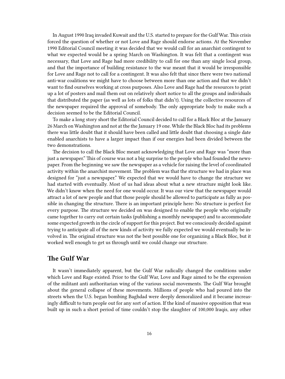In August 1990 Iraq invaded Kuwait and the U.S. started to prepare for the Gulf War. This crisis forced the question of whether or not Love and Rage should endorse actions. At the November 1990 Editorial Council meeting it was decided that we would call for an anarchist contingent to what we expected would be a spring March on Washington. It was felt that a contingent was necessary, that Love and Rage had more credibility to call for one than any single local group, and that the importance of building resistance to the war meant that it would be irresponsible for Love and Rage not to call for a contingent. It was also felt that since there were two national anti-war coalitions we might have to choose between more than one action and that we didn't want to find ourselves working at cross purposes. Also Love and Rage had the resources to print up a lot of posters and mail them out on relatively short notice to all the groups and individuals that distributed the paper (as well as lots of folks that didn't). Using the collective resources of the newspaper required the approval of somebody. The only appropriate body to make such a decision seemed to be the Editorial Council.

To make a long story short the Editorial Council decided to call for a Black Bloc at the January 26 March on Washington and not at the the January 19 one. While the Black Bloc had its problems there was little doubt that it should have been called and little doubt that choosing a single date enabled anarchists to have a larger impact than if our energies had been divided between the two demonstrations.

The decision to call the Black Bloc meant acknowledging that Love and Rage was "more than just a newspaper." This of course was not a big surprise to the people who had founded the newspaper. From the beginning we saw the newspaper as a vehicle for raising the level of coordinated activity within the anarchist movement. The problem was that the structure we had in place was designed for "just a newspaper." We expected that we would have to change the structure we had started with eventually. Most of us had ideas about what a new structure might look like. We didn't know when the need for one would occur. It was our view that the newspaper would attract a lot of new people and that those people should be allowed to participate as fully as possible in changing the structure. There is an important principle here: No structure is perfect for every purpose. The structure we decided on was designed to enable the people who originally came together to carry out certain tasks (publishing a monthly newspaper) and to accommodate some expected growth in the circle of support for this project. But we consciously decided against trying to anticipate all of the new kinds of activity we fully expected we would eventually be involved in. The original structure was not the best possible one for organizing a Black Bloc, but it worked well enough to get us through until we could change our structure.

## <span id="page-15-0"></span>**The Gulf War**

It wasn't immediately apparent, but the Gulf War radically changed the conditions under which Love and Rage existed. Prior to the Gulf War, Love and Rage aimed to be the expression of the militant anti authoritarian wing of the various social movements. The Gulf War brought about the general collapse of these movements. Millions of people who had poured into the streets when the U.S. began bombing Baghdad were deeply demoralized and it became increasingly difficult to turn people out for any sort of action. If the kind of massive opposition that was built up in such a short period of time couldn't stop the slaughter of 100,000 Iraqis, any other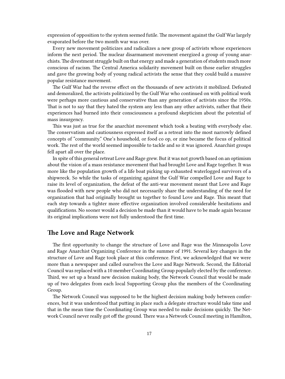expression of opposition to the system seemed futile. The movement against the Gulf War largely evaporated before the two month war was over.

Every new movement politicizes and radicalizes a new group of activists whose experiences inform the next period. The nuclear disarmament movement energized a group of young anarchists.The divestment struggle built on that energy and made a generation of students much more conscious of racism. The Central America solidarity movement built on those earlier struggles and gave the growing body of young radical activists the sense that they could build a massive popular resistance movement.

The Gulf War had the reverse effect on the thousands of new activists it mobilized. Defeated and demoralized, the activists politicized by the Gulf War who continued on with political work were perhaps more cautious and conservative than any generation of activists since the 1950s. That is not to say that they hated the system any less than any other activists, rather that their experiences had burned into their consciousness a profound skepticism about the potential of mass insurgency.

This was just as true for the anarchist movement which took a beating with everybody else. The conservatism and cautiousness expressed itself as a retreat into the most narrowly defined concepts of "community." One's household, or food co op, or zine became the focus of political work. The rest of the world seemed impossible to tackle and so it was ignored. Anarchist groups fell apart all over the place.

In spite of this general retreat Love and Rage grew. But it was not growth based on an optimism about the vision of a mass resistance movement that had brought Love and Rage together. It was more like the population growth of a life boat picking up exhausted waterlogged survivors of a shipwreck. So while the tasks of organizing against the Gulf War compelled Love and Rage to raise its level of organization, the defeat of the anti-war movement meant that Love and Rage was flooded with new people who did not necessarily share the understanding of the need for organization that had originally brought us together to found Love and Rage. This meant that each step towards a tighter more effective organization involved considerable hesitations and qualifications. No sooner would a decision be made than it would have to be made again because its original implications were not fully understood the first time.

## <span id="page-16-0"></span>**The Love and Rage Network**

The first opportunity to change the structure of Love and Rage was the Minneapolis Love and Rage Anarchist Organizing Conference in the summer of 1991. Several key changes in the structure of Love and Rage took place at this conference. First, we acknowledged that we were more than a newspaper and called ourselves the Love and Rage Network. Second, the Editorial Council was replaced with a 10 member Coordinating Group popularly elected by the conference. Third, we set up a brand new decision making body, the Network Council that would be made up of two delegates from each local Supporting Group plus the members of the Coordinating Group.

The Network Council was supposed to be the highest decision making body between conferences, but it was understood that putting in place such a delegate structure would take time and that in the mean time the Coordinating Group was needed to make decisions quickly. The Network Council never really got off the ground. There was a Network Council meeting in Hamilton,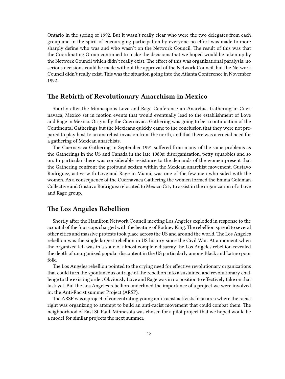Ontario in the spring of 1992. But it wasn't really clear who were the two delegates from each group and in the spirit of encouraging participation by everyone no effort was made to more sharply define who was and who wasn't on the Network Council. The result of this was that the Coordinating Group continued to make the decisions that we hoped would be taken up by the Network Council which didn't really exist. The effect of this was organizational paralysis: no serious decisions could be made without the approval of the Network Council, but the Network Council didn't really exist. This was the situation going into the Atlanta Conference in November 1992.

#### <span id="page-17-0"></span>**The Rebirth of Revolutionary Anarchism in Mexico**

Shortly after the Minneapolis Love and Rage Conference an Anarchist Gathering in Cuernavaca, Mexico set in motion events that would eventually lead to the establishment of Love and Rage in Mexico. Originally the Cuernavaca Gathering was going to be a continuation of the Continental Gatherings but the Mexicans quickly came to the conclusion that they were not prepared to play host to an anarchist invasion from the north, and that there was a crucial need for a gathering of Mexican anarchists.

The Cuernavaca Gathering in September 1991 suffered from many of the same problems as the Gatherings in the US and Canada in the late 1980s: disorganization, petty squabbles and so on. In particular there was considerable resistance to the demands of the women present that the Gathering confront the profound sexism within the Mexican anarchist movement. Gustavo Rodriguez, active with Love and Rage in Miami, was one of the few men who sided with the women. As a consequence of the Cuernavaca Gathering the women formed the Emma Goldman Collective and Gustavo Rodriguez relocated to Mexico City to assist in the organization of a Love and Rage group.

## <span id="page-17-1"></span>**The Los Angeles Rebellion**

Shortly after the Hamilton Network Council meeting Los Angeles exploded in response to the acquital of the four cops charged with the beating of Rodney King. The rebellion spread to several other cities and massive protests took place across the US and around the world. The Los Angeles rebellion was the single largest rebellion in US history since the Civil War. At a moment when the organized left was in a state of almost complete disarray the Los Angeles rebellion revealed the depth of unorganized popular discontent in the US particularly among Black and Latino poor folk.

The Los Angeles rebellion pointed to the crying need for effective revolutionary organizations that could turn the spontaneous outrage of the rebellion into a sustained and revolutionary challenge to the existing order. Obviously Love and Rage was in no position to effectively take on that task yet. But the Los Angeles rebellion underlined the importance of a project we were involved in: the Anti-Racist summer Project (ARSP).

The ARSP was a project of concentrating young anti-racist activists in an area where the racist right was organizing to attempt to build an anti-racist movement that could combat them. The neighborhood of East St. Paul. Minnesota was chosen for a pilot project that we hoped would be a model for similar projects the next summer.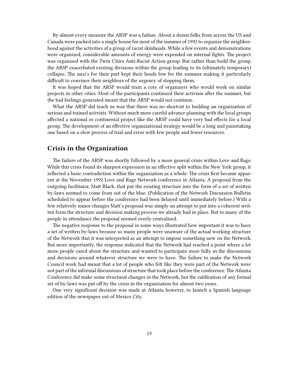By almost every measure the ARSP was a failure. About a dozen folks from across the US and Canada were packed into a single house for most of the summer of 1992 to organize the neighborhood against the activities of a group of racist skinheads. While a few events and demonstrations were organized, considerable amounts of energy were expended on internal fights. The project was organized with the Twin Cities Anti-Racist Action group. But rather than build the group, the ARSP exacerbated existing divisions within the group leading to its (ultimately temporary) collapse. The nazi's for their part kept their heads low for the summer making it particularly difficult to convince their neighbors of the urgency of stopping them.

It was hoped that the ARSP would train a core of organizers who would work on similar projects in other cities. Most of the participants continued their activism after the summer, but the bad feelings generated meant that the ARSP would not continue.

What the ARSP did teach us was that there was no shortcut to building an organization of serious and trained activists. Without much more careful advance planning with the local groups affected a national or continental project like the ARSP could have very bad effects for a local group. The development of an effective organizational strategy would be a long and painstaking one based on a slow process of trial and error with few people and fewer resources.

## <span id="page-18-0"></span>**Crisis in the Organization**

The failure of the ARSP was shortly followed by a more general crisis within Love and Rage. While this crisis found its sharpest expression in an effective split within the New York group, it reflected a basic contradiction within the organization as a whole. The crisis first became apparent at the November 1992 Love and Rage Network conference in Atlanta. A proposal from the outgoing facilitator, Matt Black, that put the existing structure into the form of a set of written by-laws seemed to come from out of the blue. (Publication of the Network Discussion Bulletin scheduled to appear before the conference had been delayed until immediately before.) With a few relatively minor changes Matt's proposal was simply an attempt to put into a coherent written form the structure and decision making process we already had in place. But to many of the people in attendance the proposal seemed overly centralized.

The negative response to the proposal in some ways illustrated how important it was to have a set of written by-laws because so many people were unaware of the actual working structure of the Network that it was interpreted as an attempt to impose something new on the Network. But more importantly, the response indicated that the Network had reached a point where a lot more people cared about the structure and wanted to participate more fully in the discussions and decisions around whatever structure we were to have. The failure to make the Network Council work had meant that a lot of people who felt like they were part of the Network were not part of the informal discussions of structure that took place before the conference.The Atlanta Conference did make some structural changes in the Network, but the ratification of any formal set of by-laws was put off by the crisis in the organization for almost two years.

One very significant decision was made at Atlanta however, to launch a Spanish language edition of the newspaper out of Mexico City.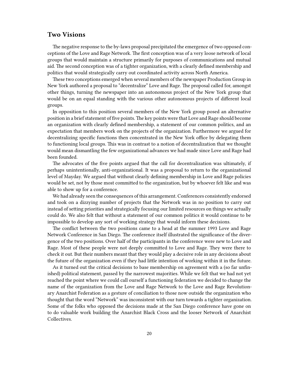## <span id="page-19-0"></span>**Two Visions**

The negative response to the by-laws proposal precipitated the emergence of two opposed conceptions of the Love and Rage Network. The first conception was of a very loose network of local groups that would maintain a structure primarily for purposes of communications and mutual aid. The second conception was of a tighter organization, with a clearly defined membership and politics that would strategically carry out coordinated activity across North America.

These two conceptions emerged when several members of the newspaper Production Group in New York authored a proposal to "decentralize" Love and Rage. The proposal called for, amongst other things, turning the newspaper into an autonomous project of the New York group that would be on an equal standing with the various other autonomous projects of different local groups.

In opposition to this position several members of the New York group posed an alternative position in a brief statement of five points.The key points were that Love and Rage should become an organization with clearly defined membership, a statement of our common politics, and an expectation that members work on the projects of the organization. Furthermore we argued for decentralizing specific functions then concentrated in the New York office by delegating them to functioning local groups. This was in contrast to a notion of decentralization that we thought would mean dismantling the few organizational advances we had made since Love and Rage had been founded.

The advocates of the five points argued that the call for decentralization was ultimately, if perhaps unintentionally, anti-organizational. It was a proposal to return to the organizational level of Mayday. We argued that without clearly defining membership in Love and Rage policies would be set, not by those most committed to the organization, but by whoever felt like and was able to show up for a conference.

We had already seen the consequences of this arrangement. Conferences consistently endorsed and took on a dizzying number of projects that the Network was in no position to carry out instead of setting priorities and strategically focusing our limited resources on things we actually could do. We also felt that without a statement of our common politics it would continue to be impossible to develop any sort of working strategy that would inform these decisions.

The conflict between the two positions came to a head at the summer 1993 Love and Rage Network Conference in San Diego. The conference itself illustrated the significance of the divergence of the two positions. Over half of the participants in the conference were new to Love and Rage. Most of these people were not deeply committed to Love and Rage. They were there to check it out. But their numbers meant that they would play a decisive role in any decisions about the future of the organization even if they had little intention of working within it in the future.

As it turned out the critical decisions to base membership on agreement with a (so far unfinished) political statement, passed by the narrowest majorities. While we felt that we had not yet reached the point where we could call ourself a functioning federation we decided to change the name of the organization from the Love and Rage Network to the Love and Rage Revolutionary Anarchist Federation as a gesture of conciliation to those now outside the organization who thought that the word "Network" was inconsistent with our turn towards a tighter organization. Some of the folks who opposed the decisions made at the San Diego conference have gone on to do valuable work building the Anarchist Black Cross and the looser Network of Anarchist Collectives.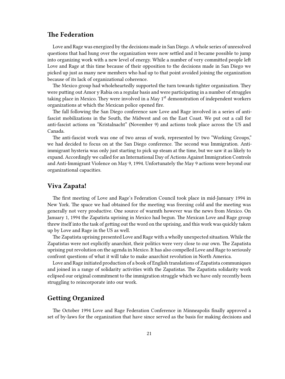## <span id="page-20-0"></span>**The Federation**

Love and Rage was energized by the decisions made in San Diego. A whole series of unresolved questions that had hung over the organization were now settled and it became possible to jump into organizing work with a new level of energy. While a number of very committed people left Love and Rage at this time because of their opposition to the decisions made in San Diego we picked up just as many new members who had up to that point avoided joining the organization because of its lack of organizational coherence.

The Mexico group had wholeheartedly supported the turn towards tighter organization. They were putting out Amor y Rabia on a regular basis and were participating in a number of struggles taking place in Mexico. They were involved in a May  $1<sup>st</sup>$  demonstration of independent workers organizations at which the Mexican police opened fire.

The fall following the San Diego conference saw Love and Rage involved in a series of antifascist mobilizations in the South, the Midwest and on the East Coast. We put out a call for anti-fascist actions on "Kristalnacht" (November 9) and actions took place across the US and Canada.

The anti-fascist work was one of two areas of work, represented by two "Working Groups," we had decided to focus on at the San Diego conference. The second was Immigration. Antiimmigrant hysteria was only just starting to pick up steam at the time, but we saw it as likely to expand. Accordingly we called for an International Day of Actions Against Immigration Controls and Anti-Immigrant Violence on May 9, 1994. Unfortunately the May 9 actions were beyond our organizational capacities.

#### <span id="page-20-1"></span>**Viva Zapata!**

The first meeting of Love and Rage's Federation Council took place in mid-January 1994 in New York. The space we had obtained for the meeting was freezing cold and the meeting was generally not very productive. One source of warmth however was the news from Mexico. On January 1, 1994 the Zapatista uprising in Mexico had begun. The Mexican Love and Rage group threw itself into the task of getting out the word on the uprising, and this work was quickly taken up by Love and Rage in the US as well.

The Zapatista uprising presented Love and Rage with a wholly unexpected situation. While the Zapatistas were not explicitly anarchist, their politics were very close to our own. The Zapatista uprising put revolution on the agenda in Mexico. It has also compelled Love and Rage to seriously confront questions of what it will take to make anarchist revolution in North America.

Love and Rage initiated production of a book of English translations of Zapatista communiques and joined in a range of solidarity activities with the Zapatistas. The Zapatista solidarity work eclipsed our original commitment to the immigration struggle which we have only recently been struggling to reincorporate into our work.

## <span id="page-20-2"></span>**Getting Organized**

The October 1994 Love and Rage Federation Conference in Minneapolis finally approved a set of by-laws for the organization that have since served as the basis for making decisions and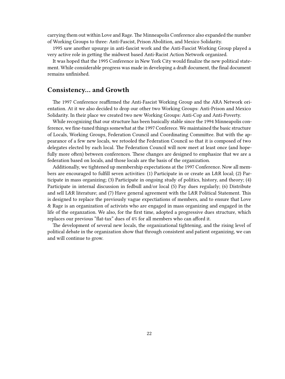carrying them out within Love and Rage. The Minneapolis Conference also expanded the number of Working Groups to three: Anti-Fascist, Prison Abolition, and Mexico Solidarity.

1995 saw another upsurge in anti-fascist work and the Anti-Fascist Working Group played a very active role in getting the midwest based Anti-Racist Action Network organized.

It was hoped that the 1995 Conference in New York City would finalize the new political statement. While considerable progress was made in developing a draft document, the final document remains unfinished.

#### <span id="page-21-0"></span>**Consistency… and Growth**

The 1997 Conference reaffirmed the Anti-Fascist Working Group and the ARA Network orientation. At it we also decided to drop our other two Working Groups: Anti-Prison and Mexico Solidarity. In their place we created two new Working Groups: Anti-Cop and Anti-Poverty.

While recognizing that our structure has been basically stable since the 1994 Minneapolis conference, we fine-tuned things somewhat at the 1997 Conferece. We maintained the basic structure of Locals, Working Groups, Federation Council and Coordinating Committee. But with the appearance of a few new locals, we retooled the Federation Council so that it is composed of two delegates elected by each local. The Federation Council will now meet at least once (and hopefully more often) between conferences. These changes are designed to emphasize that we are a federation based on locals, and those locals are the basis of the organization.

Additionally, we tightened up membership expectations at the 1997 Conference. Now all members are encouraged to fulfill seven activities: (1) Participate in or create an L&R local; (2) Participate in mass organizing; (3) Participate in ongoing study of politics, history, and theory; (4) Participate in internal discussion in fedbull and/or local (5) Pay dues regularly; (6) Distribute and sell L&R literature; and (7) Have general agreement with the L&R Political Statement. This is designed to replace the previously vague expectiations of members, and to ensure that Love & Rage is an organization of activists who are engaged in mass organizing and engaged in the life of the organzation. We also, for the first time, adopted a progressive dues structure, which replaces our previous "flat-tax" dues of 4% for all members who can afford it.

The development of several new locals, the organizational tightening, and the rising level of political debate in the organization show that through consistent and patient organizing, we can and will continue to grow.